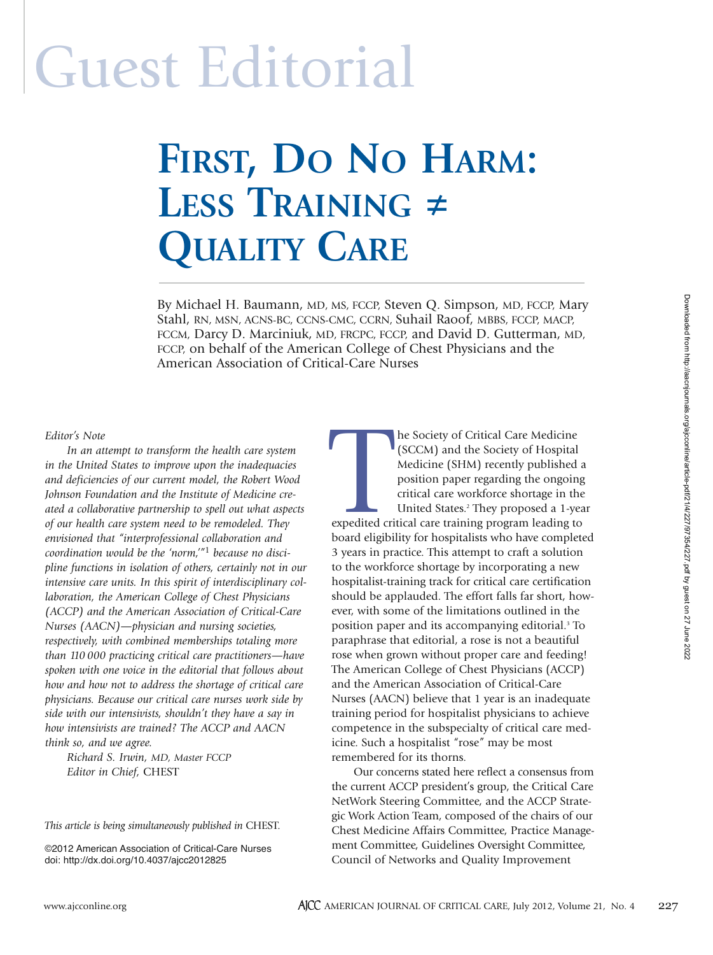# Guest Editorial

# **FIRST, DO NO HARM: LESS TRAINING ≠ QUALITY CARE**

By Michael H. Baumann, MD, MS, FCCP, Steven Q. Simpson, MD, FCCP, Mary Stahl, RN, MSN, ACNS-BC, CCNS-CMC, CCRN, Suhail Raoof, MBBS, FCCP, MACP, FCCM, Darcy D. Marciniuk, MD, FRCPC, FCCP, and David D. Gutterman, MD, FCCP, on behalf of the American College of Chest Physicians and the American Association of Critical-Care Nurses

#### *Editor's Note*

*In an attempt to transform the health care system in the United States to improve upon the inadequacies and deficiencies of our current model, the Robert Wood Johnson Foundation and the Institute of Medicine created a collaborative partnership to spell out what aspects of our health care system need to be remodeled. They envisioned that "interprofessional collaboration and coordination would be the 'norm,'"*<sup>1</sup> *because no discipline functions in isolation of others, certainly not in our intensive care units. In this spirit of interdisciplinary collaboration, the American College of Chest Physicians (ACCP) and the American Association of Critical-Care Nurses (AACN)—physician and nursing societies, respectively, with combined memberships totaling more than 110 000 practicing critical care practitioners—have spoken with one voice in the editorial that follows about how and how not to address the shortage of critical care physicians. Because our critical care nurses work side by side with our intensivists, shouldn't they have a say in how intensivists are trained? The ACCP and AACN think so, and we agree.* 

*Richard S. Irwin, MD, Master FCCP Editor in Chief,* CHEST

*This article is being simultaneously published in* CHEST.

©2012 American Association of Critical-Care Nurses doi: http://dx.doi.org/10.4037/ajcc2012825

Expedited crystal<br>Noard eligib he Society of Critical Care Medicine (SCCM) and the Society of Hospital Medicine (SHM) recently published a position paper regarding the ongoing critical care workforce shortage in the United States.2 They proposed a 1-year expedited critical care training program leading to board eligibility for hospitalists who have completed 3 years in practice. This attempt to craft a solution to the workforce shortage by incorporating a new hospitalist-training track for critical care certification should be applauded. The effort falls far short, however, with some of the limitations outlined in the position paper and its accompanying editorial.3 To paraphrase that editorial, a rose is not a beautiful rose when grown without proper care and feeding! The American College of Chest Physicians (ACCP) and the American Association of Critical-Care Nurses (AACN) believe that 1 year is an inadequate training period for hospitalist physicians to achieve competence in the subspecialty of critical care medicine. Such a hospitalist "rose" may be most remembered for its thorns.

Our concerns stated here reflect a consensus from the current ACCP president's group, the Critical Care NetWork Steering Committee, and the ACCP Strategic Work Action Team, composed of the chairs of our Chest Medicine Affairs Committee, Practice Management Committee, Guidelines Oversight Committee, Council of Networks and Quality Improvement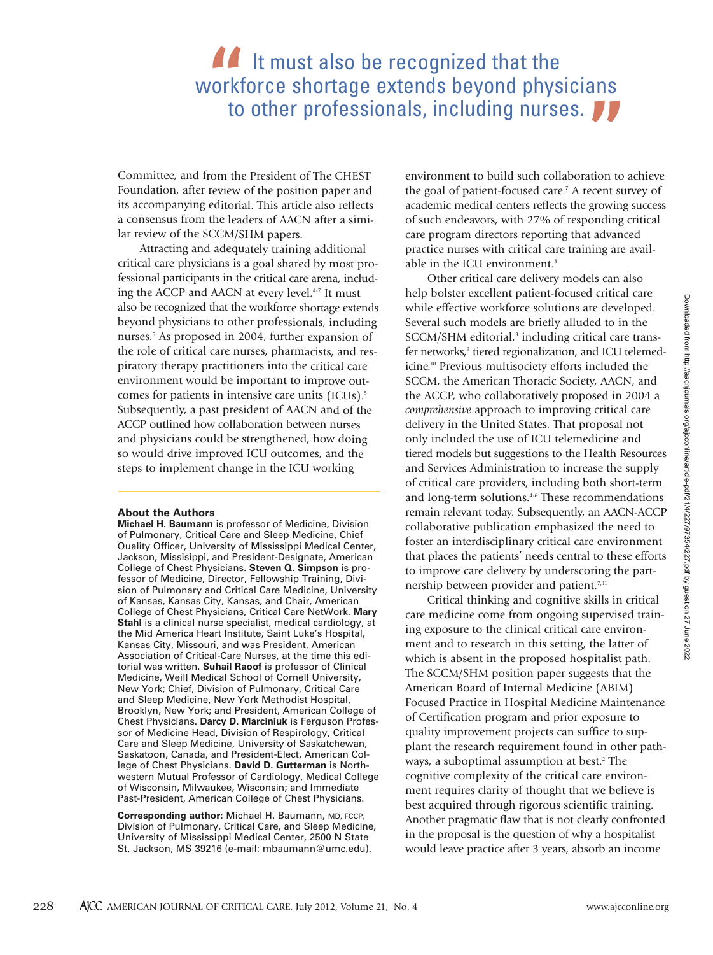## It must also be recognized that the orkforce shortage extends beyond phys workforce shortage extends beyond physicians to other professionals, including nurses. **"**

Committee, and from the President of The CHEST Foundation, after review of the position paper and its accompanying editorial. This article also reflects a consensus from the leaders of AACN after a similar review of the SCCM/SHM papers.

Attracting and adequately training additional critical care physicians is a goal shared by most professional participants in the critical care arena, including the ACCP and AACN at every level.<sup>4-7</sup> It must also be recognized that the workforce shortage extends beyond physicians to other professionals, including nurses.<sup>5</sup> As proposed in 2004, further expansion of the role of critical care nurses, pharmacists, and respiratory therapy practitioners into the critical care environment would be important to improve outcomes for patients in intensive care units (ICUs).<sup>5</sup> Subsequently, a past president of AACN and of the ACCP outlined how collaboration between nurses and physicians could be strengthened, how doing so would drive improved ICU outcomes, and the steps to implement change in the ICU working

#### **About the Authors**

**Michael H. Baumann** is professor of Medicine, Division of Pulmonary, Critical Care and Sleep Medicine, Chief Quality Officer, University of Mississippi Medical Center, Jackson, Missisippi, and President-Designate, American College of Chest Physicians. **Steven Q. Simpson** is professor of Medicine, Director, Fellowship Training, Division of Pulmonary and Critical Care Medicine, University of Kansas, Kansas City, Kansas, and Chair, American College of Chest Physicians, Critical Care NetWork. **Mary Stahl** is a clinical nurse specialist, medical cardiology, at the Mid America Heart Institute, Saint Luke's Hospital, Kansas City, Missouri, and was President, American Association of Critical-Care Nurses, at the time this editorial was written. **Suhail Raoof** is professor of Clinical Medicine, Weill Medical School of Cornell University, New York; Chief, Division of Pulmonary, Critical Care and Sleep Medicine, New York Methodist Hospital, Brooklyn, New York; and President, American College of Chest Physicians. **Darcy D. Marciniuk** is Ferguson Professor of Medicine Head, Division of Respirology, Critical Care and Sleep Medicine, University of Saskatchewan, Saskatoon, Canada, and President-Elect, American College of Chest Physicians. **David D. Gutterman** is Northwestern Mutual Professor of Cardiology, Medical College of Wisconsin, Milwaukee, Wisconsin; and Immediate Past-President, American College of Chest Physicians.

**Corresponding author: Michael H. Baumann, MD, FCCP,** Division of Pulmonary, Critical Care, and Sleep Medicine, University of Mississippi Medical Center, 2500 N State St, Jackson, MS 39216 (e-mail: mbaumann@umc.edu).

environment to build such collaboration to achieve the goal of patient-focused care.<sup>7</sup> A recent survey of academic medical centers reflects the growing success of such endeavors, with 27% of responding critical care program directors reporting that advanced practice nurses with critical care training are available in the ICU environment.<sup>8</sup>

Other critical care delivery models can also help bolster excellent patient-focused critical care while effective workforce solutions are developed. Several such models are briefly alluded to in the SCCM/SHM editorial,<sup>3</sup> including critical care transfer networks,<sup>9</sup> tiered regionalization, and ICU telemedicine.10 Previous multisociety efforts included the SCCM, the American Thoracic Society, AACN, and the ACCP, who collaboratively proposed in 2004 a *comprehensive* approach to improving critical care delivery in the United States. That proposal not only included the use of ICU telemedicine and tiered models but suggestions to the Health Resources and Services Administration to increase the supply of critical care providers, including both short-term and long-term solutions.<sup>4-6</sup> These recommendations remain relevant today. Subsequently, an AACN-ACCP collaborative publication emphasized the need to foster an interdisciplinary critical care environment that places the patients' needs central to these efforts to improve care delivery by underscoring the partnership between provider and patient.<sup>7,11</sup>

Critical thinking and cognitive skills in critical care medicine come from ongoing supervised training exposure to the clinical critical care environment and to research in this setting, the latter of which is absent in the proposed hospitalist path. The SCCM/SHM position paper suggests that the American Board of Internal Medicine (ABIM) Focused Practice in Hospital Medicine Maintenance of Certification program and prior exposure to quality improvement projects can suffice to supplant the research requirement found in other pathways, a suboptimal assumption at best.<sup>2</sup> The cognitive complexity of the critical care environment requires clarity of thought that we believe is best acquired through rigorous scientific training. Another pragmatic flaw that is not clearly confronted in the proposal is the question of why a hospitalist would leave practice after 3 years, absorb an income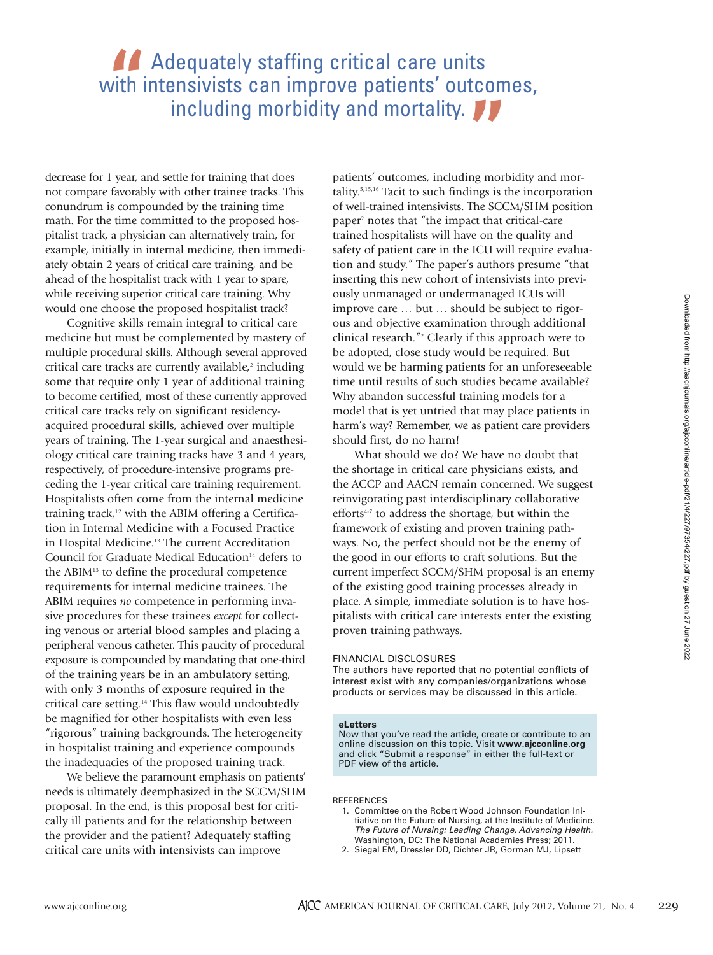### **Adequately staffing critical care units** ith intensivists can improve patients' outcomer including marketing with intensivists can improve patients' outcomes, including morbidity and mortality. **The**

decrease for 1 year, and settle for training that does not compare favorably with other trainee tracks. This conundrum is compounded by the training time math. For the time committed to the proposed hospitalist track, a physician can alternatively train, for example, initially in internal medicine, then immediately obtain 2 years of critical care training, and be ahead of the hospitalist track with 1 year to spare, while receiving superior critical care training. Why would one choose the proposed hospitalist track?

Cognitive skills remain integral to critical care medicine but must be complemented by mastery of multiple procedural skills. Although several approved critical care tracks are currently available, $2$  including some that require only 1 year of additional training to become certified, most of these currently approved critical care tracks rely on significant residencyacquired procedural skills, achieved over multiple years of training. The 1-year surgical and anaesthesiology critical care training tracks have 3 and 4 years, respectively, of procedure-intensive programs preceding the 1-year critical care training requirement. Hospitalists often come from the internal medicine training track,<sup>12</sup> with the ABIM offering a Certification in Internal Medicine with a Focused Practice in Hospital Medicine.<sup>13</sup> The current Accreditation Council for Graduate Medical Education<sup>14</sup> defers to the ABIM<sup>13</sup> to define the procedural competence requirements for internal medicine trainees. The ABIM requires *no* competence in performing invasive procedures for these trainees *except* for collecting venous or arterial blood samples and placing a peripheral venous catheter. This paucity of procedural exposure is compounded by mandating that one-third of the training years be in an ambulatory setting, with only 3 months of exposure required in the critical care setting.<sup>14</sup> This flaw would undoubtedly be magnified for other hospitalists with even less "rigorous" training backgrounds. The heterogeneity in hospitalist training and experience compounds the inadequacies of the proposed training track.

We believe the paramount emphasis on patients' needs is ultimately deemphasized in the SCCM/SHM proposal. In the end, is this proposal best for critically ill patients and for the relationship between the provider and the patient? Adequately staffing critical care units with intensivists can improve

patients' outcomes, including morbidity and mortality.5,15,16 Tacit to such findings is the incorporation of well-trained intensivists. The SCCM/SHM position paper<sup>2</sup> notes that "the impact that critical-care trained hospitalists will have on the quality and safety of patient care in the ICU will require evaluation and study." The paper's authors presume "that inserting this new cohort of intensivists into previously unmanaged or undermanaged ICUs will improve care … but … should be subject to rigorous and objective examination through additional clinical research."2 Clearly if this approach were to be adopted, close study would be required. But would we be harming patients for an unforeseeable time until results of such studies became available? Why abandon successful training models for a model that is yet untried that may place patients in harm's way? Remember, we as patient care providers should first, do no harm!

What should we do? We have no doubt that the shortage in critical care physicians exists, and the ACCP and AACN remain concerned. We suggest reinvigorating past interdisciplinary collaborative efforts<sup>4-7</sup> to address the shortage, but within the framework of existing and proven training pathways. No, the perfect should not be the enemy of the good in our efforts to craft solutions. But the current imperfect SCCM/SHM proposal is an enemy of the existing good training processes already in place. A simple, immediate solution is to have hospitalists with critical care interests enter the existing proven training pathways.

#### FINANCIAL DISCLOSURES

The authors have reported that no potential conflicts of interest exist with any companies/organizations whose products or services may be discussed in this article.

#### **eLetters**

Now that you've read the article, create or contribute to an online discussion on this topic. Visit **www.ajcconline.org** and click "Submit a response" in either the full-text or PDF view of the article.

#### REFERENCES

- 1. Committee on the Robert Wood Johnson Foundation Initiative on the Future of Nursing, at the Institute of Medicine. *The Future of Nursing: Leading Change, Advancing Health.* Washington, DC: The National Academies Press; 2011.
- 2. Siegal EM, Dressler DD, Dichter JR, Gorman MJ, Lipsett